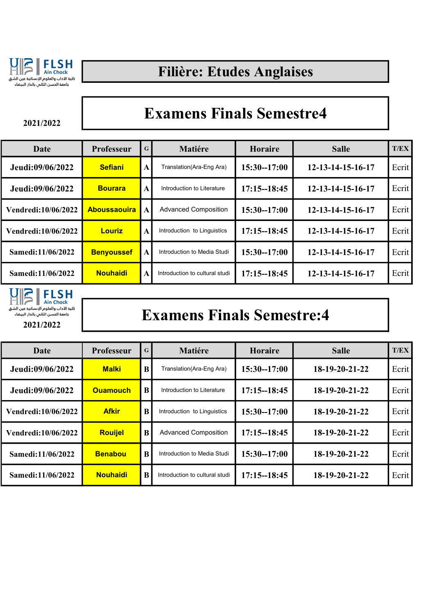

### Filière: Etudes Anglaises

2021/2022

#### Examens Finals Semestre4

| Date                | <b>Professeur</b>   | $\mathbf G$  | <b>Matiére</b>                 | <b>Horaire</b>  | <b>Salle</b>      | <b>T/EX</b> |
|---------------------|---------------------|--------------|--------------------------------|-----------------|-------------------|-------------|
| Jeudi:09/06/2022    | <b>Sefiani</b>      | $\mathbf{A}$ | Translation(Ara-Eng Ara)       | $15:30 - 17:00$ | 12-13-14-15-16-17 | Ecrit       |
| Jeudi:09/06/2022    | <b>Bourara</b>      | $\mathbf{A}$ | Introduction to Literature     | $17:15 - 18:45$ | 12-13-14-15-16-17 | Ecrit       |
| Vendredi:10/06/2022 | <b>Aboussaouira</b> | $\mathbf{A}$ | <b>Advanced Composition</b>    | $15:30 - 17:00$ | 12-13-14-15-16-17 | Ecrit       |
| Vendredi:10/06/2022 | <b>Louriz</b>       | $\mathbf{A}$ | Introduction to Linguistics    | $17:15 - 18:45$ | 12-13-14-15-16-17 | Ecrit       |
| Samedi:11/06/2022   | <b>Benyoussef</b>   | $\mathbf{A}$ | Introduction to Media Studi    | $15:30 - 17:00$ | 12-13-14-15-16-17 | Ecrit       |
| Samedi:11/06/2022   | <b>Nouhaidi</b>     | $\mathbf{A}$ | Introduction to cultural studi | $17:15 - 18:45$ | 12-13-14-15-16-17 | Ecrit       |



### Examens Finals Semestre:4

| Date                | <b>Professeur</b> | $\mathbf G$ | <b>Matiére</b>                 | Horaire         | <b>Salle</b>   | T/EX  |
|---------------------|-------------------|-------------|--------------------------------|-----------------|----------------|-------|
| Jeudi:09/06/2022    | <b>Malki</b>      | B           | Translation(Ara-Eng Ara)       | $15:30 - 17:00$ | 18-19-20-21-22 | Ecrit |
| Jeudi:09/06/2022    | <b>Ouamouch</b>   | B           | Introduction to Literature     | $17:15 - 18:45$ | 18-19-20-21-22 | Ecrit |
| Vendredi:10/06/2022 | <b>Afkir</b>      | B           | Introduction to Linguistics    | $15:30 - 17:00$ | 18-19-20-21-22 | Ecrit |
| Vendredi:10/06/2022 | <b>Rouijel</b>    | $\bf{B}$    | <b>Advanced Composition</b>    | $17:15 - 18:45$ | 18-19-20-21-22 | Ecrit |
| Samedi:11/06/2022   | <b>Benabou</b>    | B           | Introduction to Media Studi    | $15:30 - 17:00$ | 18-19-20-21-22 | Ecrit |
| Samedi:11/06/2022   | <b>Nouhaidi</b>   | B           | Introduction to cultural studi | $17:15 - 18:45$ | 18-19-20-21-22 | Ecrit |